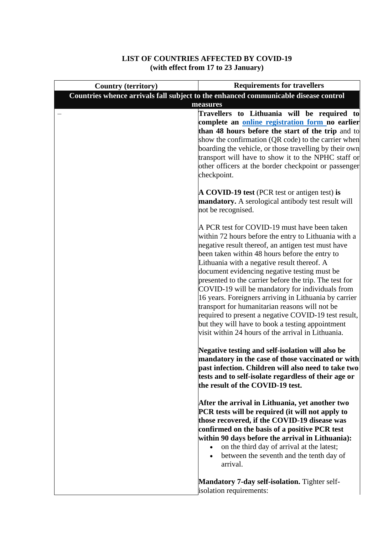## **LIST OF COUNTRIES AFFECTED BY COVID-19 (with effect from 17 to 23 January)**

| <b>Country (territory)</b> | <b>Requirements for travellers</b>                                                                            |
|----------------------------|---------------------------------------------------------------------------------------------------------------|
|                            | Countries whence arrivals fall subject to the enhanced communicable disease control                           |
|                            | measures                                                                                                      |
|                            | Travellers to Lithuania will be required to                                                                   |
|                            | complete an online registration form no earlier                                                               |
|                            | than 48 hours before the start of the trip and to                                                             |
|                            | show the confirmation (QR code) to the carrier when<br>boarding the vehicle, or those travelling by their own |
|                            | transport will have to show it to the NPHC staff or                                                           |
|                            | other officers at the border checkpoint or passenger                                                          |
|                            | checkpoint.                                                                                                   |
|                            |                                                                                                               |
|                            | <b>A COVID-19 test</b> (PCR test or antigen test) is                                                          |
|                            | mandatory. A serological antibody test result will                                                            |
|                            | not be recognised.                                                                                            |
|                            |                                                                                                               |
|                            | A PCR test for COVID-19 must have been taken<br>within 72 hours before the entry to Lithuania with a          |
|                            | negative result thereof, an antigen test must have                                                            |
|                            | been taken within 48 hours before the entry to                                                                |
|                            | Lithuania with a negative result thereof. A                                                                   |
|                            | document evidencing negative testing must be                                                                  |
|                            | presented to the carrier before the trip. The test for                                                        |
|                            | COVID-19 will be mandatory for individuals from                                                               |
|                            | 16 years. Foreigners arriving in Lithuania by carrier                                                         |
|                            | transport for humanitarian reasons will not be                                                                |
|                            | required to present a negative COVID-19 test result,                                                          |
|                            | but they will have to book a testing appointment<br>visit within 24 hours of the arrival in Lithuania.        |
|                            |                                                                                                               |
|                            | Negative testing and self-isolation will also be                                                              |
|                            | mandatory in the case of those vaccinated or with                                                             |
|                            | past infection. Children will also need to take two                                                           |
|                            | tests and to self-isolate regardless of their age or                                                          |
|                            | the result of the COVID-19 test.                                                                              |
|                            | After the arrival in Lithuania, yet another two                                                               |
|                            | PCR tests will be required (it will not apply to                                                              |
|                            | those recovered, if the COVID-19 disease was                                                                  |
|                            | confirmed on the basis of a positive PCR test                                                                 |
|                            | within 90 days before the arrival in Lithuania):                                                              |
|                            | on the third day of arrival at the latest;                                                                    |
|                            | between the seventh and the tenth day of<br>$\bullet$                                                         |
|                            | arrival.                                                                                                      |
|                            |                                                                                                               |
|                            | <b>Mandatory 7-day self-isolation.</b> Tighter self-<br>isolation requirements:                               |
|                            |                                                                                                               |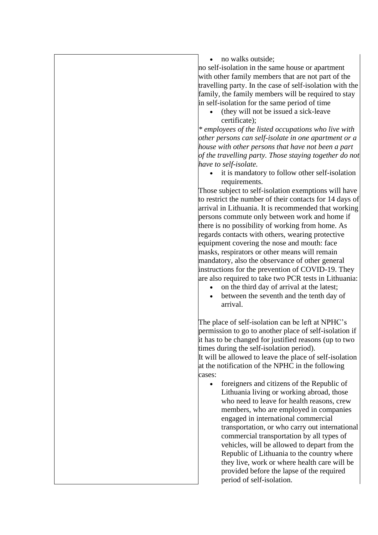• no walks outside;

no self-isolation in the same house or apartment with other family members that are not part of the travelling party. In the case of self-isolation with the family, the family members will be required to stay in self-isolation for the same period of time

• (they will not be issued a sick-leave certificate);

*\* employees of the listed occupations who live with other persons can self-isolate in one apartment or a house with other persons that have not been a part of the travelling party. Those staying together do not have to self-isolate.*

• it is mandatory to follow other self-isolation requirements.

Those subject to self-isolation exemptions will have to restrict the number of their contacts for 14 days of arrival in Lithuania. It is recommended that working persons commute only between work and home if there is no possibility of working from home. As regards contacts with others, wearing protective equipment covering the nose and mouth: face masks, respirators or other means will remain mandatory, also the observance of other general instructions for the prevention of COVID-19. They are also required to take two PCR tests in Lithuania:

- on the third day of arrival at the latest;
- between the seventh and the tenth day of arrival.

The place of self-isolation can be left at NPHC's permission to go to another place of self-isolation if it has to be changed for justified reasons (up to two times during the self-isolation period). It will be allowed to leave the place of self-isolation at the notification of the NPHC in the following cases:

• foreigners and citizens of the Republic of Lithuania living or working abroad, those who need to leave for health reasons, crew members, who are employed in companies engaged in international commercial transportation, or who carry out international commercial transportation by all types of vehicles, will be allowed to depart from the Republic of Lithuania to the country where they live, work or where health care will be provided before the lapse of the required period of self-isolation.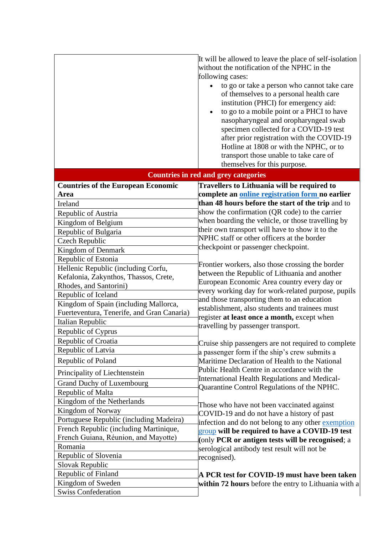|                                                                                     | It will be allowed to leave the place of self-isolation<br>without the notification of the NPHC in the<br>following cases:<br>to go or take a person who cannot take care<br>of themselves to a personal health care<br>institution (PHCI) for emergency aid:<br>to go to a mobile point or a PHCI to have<br>$\bullet$<br>nasopharyngeal and oropharyngeal swab<br>specimen collected for a COVID-19 test<br>after prior registration with the COVID-19<br>Hotline at 1808 or with the NPHC, or to<br>transport those unable to take care of<br>themselves for this purpose. |  |  |
|-------------------------------------------------------------------------------------|-------------------------------------------------------------------------------------------------------------------------------------------------------------------------------------------------------------------------------------------------------------------------------------------------------------------------------------------------------------------------------------------------------------------------------------------------------------------------------------------------------------------------------------------------------------------------------|--|--|
|                                                                                     | <b>Countries in red and grey categories</b>                                                                                                                                                                                                                                                                                                                                                                                                                                                                                                                                   |  |  |
| <b>Countries of the European Economic</b>                                           | Travellers to Lithuania will be required to                                                                                                                                                                                                                                                                                                                                                                                                                                                                                                                                   |  |  |
| Area                                                                                | complete an online registration form no earlier                                                                                                                                                                                                                                                                                                                                                                                                                                                                                                                               |  |  |
| Ireland                                                                             | than 48 hours before the start of the trip and to                                                                                                                                                                                                                                                                                                                                                                                                                                                                                                                             |  |  |
| Republic of Austria                                                                 | show the confirmation (QR code) to the carrier                                                                                                                                                                                                                                                                                                                                                                                                                                                                                                                                |  |  |
| Kingdom of Belgium                                                                  | when boarding the vehicle, or those travelling by                                                                                                                                                                                                                                                                                                                                                                                                                                                                                                                             |  |  |
| Republic of Bulgaria                                                                | their own transport will have to show it to the<br>NPHC staff or other officers at the border                                                                                                                                                                                                                                                                                                                                                                                                                                                                                 |  |  |
| <b>Czech Republic</b>                                                               | checkpoint or passenger checkpoint.                                                                                                                                                                                                                                                                                                                                                                                                                                                                                                                                           |  |  |
| Kingdom of Denmark                                                                  |                                                                                                                                                                                                                                                                                                                                                                                                                                                                                                                                                                               |  |  |
| Republic of Estonia                                                                 | Frontier workers, also those crossing the border                                                                                                                                                                                                                                                                                                                                                                                                                                                                                                                              |  |  |
| Hellenic Republic (including Corfu,                                                 | between the Republic of Lithuania and another                                                                                                                                                                                                                                                                                                                                                                                                                                                                                                                                 |  |  |
| Kefalonia, Zakynthos, Thassos, Crete,                                               | European Economic Area country every day or                                                                                                                                                                                                                                                                                                                                                                                                                                                                                                                                   |  |  |
| Rhodes, and Santorini)                                                              | every working day for work-related purpose, pupils                                                                                                                                                                                                                                                                                                                                                                                                                                                                                                                            |  |  |
| Republic of Iceland                                                                 | and those transporting them to an education                                                                                                                                                                                                                                                                                                                                                                                                                                                                                                                                   |  |  |
| Kingdom of Spain (including Mallorca,<br>Fuerteventura, Tenerife, and Gran Canaria) | establishment, also students and trainees must                                                                                                                                                                                                                                                                                                                                                                                                                                                                                                                                |  |  |
| Italian Republic                                                                    | register at least once a month, except when                                                                                                                                                                                                                                                                                                                                                                                                                                                                                                                                   |  |  |
| Republic of Cyprus                                                                  | travelling by passenger transport.                                                                                                                                                                                                                                                                                                                                                                                                                                                                                                                                            |  |  |
| Republic of Croatia                                                                 |                                                                                                                                                                                                                                                                                                                                                                                                                                                                                                                                                                               |  |  |
| Republic of Latvia                                                                  | Cruise ship passengers are not required to complete                                                                                                                                                                                                                                                                                                                                                                                                                                                                                                                           |  |  |
|                                                                                     | a passenger form if the ship's crew submits a                                                                                                                                                                                                                                                                                                                                                                                                                                                                                                                                 |  |  |
| Republic of Poland                                                                  | Maritime Declaration of Health to the National<br>Public Health Centre in accordance with the                                                                                                                                                                                                                                                                                                                                                                                                                                                                                 |  |  |
| Principality of Liechtenstein                                                       | <b>International Health Regulations and Medical-</b>                                                                                                                                                                                                                                                                                                                                                                                                                                                                                                                          |  |  |
| <b>Grand Duchy of Luxembourg</b>                                                    | Quarantine Control Regulations of the NPHC.                                                                                                                                                                                                                                                                                                                                                                                                                                                                                                                                   |  |  |
| Republic of Malta                                                                   |                                                                                                                                                                                                                                                                                                                                                                                                                                                                                                                                                                               |  |  |
| Kingdom of the Netherlands                                                          | Those who have not been vaccinated against                                                                                                                                                                                                                                                                                                                                                                                                                                                                                                                                    |  |  |
| Kingdom of Norway                                                                   | COVID-19 and do not have a history of past                                                                                                                                                                                                                                                                                                                                                                                                                                                                                                                                    |  |  |
| Portuguese Republic (including Madeira)                                             | infection and do not belong to any other exemption                                                                                                                                                                                                                                                                                                                                                                                                                                                                                                                            |  |  |
| French Republic (including Martinique,                                              | group will be required to have a COVID-19 test                                                                                                                                                                                                                                                                                                                                                                                                                                                                                                                                |  |  |
| French Guiana, Réunion, and Mayotte)                                                | (only PCR or antigen tests will be recognised; a                                                                                                                                                                                                                                                                                                                                                                                                                                                                                                                              |  |  |
| Romania                                                                             | serological antibody test result will not be                                                                                                                                                                                                                                                                                                                                                                                                                                                                                                                                  |  |  |
| Republic of Slovenia                                                                | recognised).                                                                                                                                                                                                                                                                                                                                                                                                                                                                                                                                                                  |  |  |
| Slovak Republic                                                                     |                                                                                                                                                                                                                                                                                                                                                                                                                                                                                                                                                                               |  |  |
| Republic of Finland                                                                 | A PCR test for COVID-19 must have been taken                                                                                                                                                                                                                                                                                                                                                                                                                                                                                                                                  |  |  |
| Kingdom of Sweden                                                                   | within 72 hours before the entry to Lithuania with a                                                                                                                                                                                                                                                                                                                                                                                                                                                                                                                          |  |  |
| <b>Swiss Confederation</b>                                                          |                                                                                                                                                                                                                                                                                                                                                                                                                                                                                                                                                                               |  |  |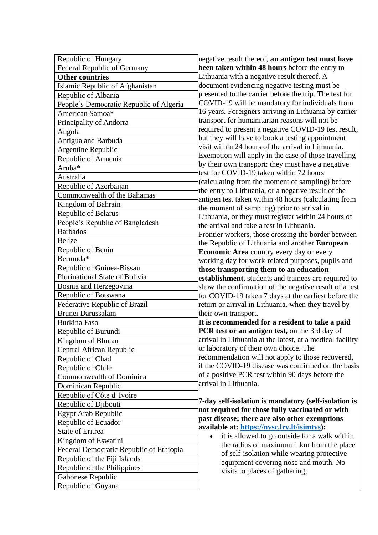| Republic of Hungary                     | negative result thereof, an antigen test must have                                                      |
|-----------------------------------------|---------------------------------------------------------------------------------------------------------|
| <b>Federal Republic of Germany</b>      | been taken within 48 hours before the entry to                                                          |
| <b>Other countries</b>                  | Lithuania with a negative result thereof. A                                                             |
| Islamic Republic of Afghanistan         | document evidencing negative testing must be                                                            |
| Republic of Albania                     | presented to the carrier before the trip. The test for                                                  |
| People's Democratic Republic of Algeria | COVID-19 will be mandatory for individuals from                                                         |
| American Samoa*                         | 16 years. Foreigners arriving in Lithuania by carrier                                                   |
| Principality of Andorra                 | transport for humanitarian reasons will not be                                                          |
| Angola                                  | required to present a negative COVID-19 test result,                                                    |
| Antigua and Barbuda                     | but they will have to book a testing appointment                                                        |
| Argentine Republic                      | visit within 24 hours of the arrival in Lithuania.                                                      |
| Republic of Armenia                     | Exemption will apply in the case of those travelling                                                    |
| Aruba*                                  | by their own transport: they must have a negative                                                       |
| Australia                               | test for COVID-19 taken within 72 hours                                                                 |
| Republic of Azerbaijan                  | (calculating from the moment of sampling) before                                                        |
| Commonwealth of the Bahamas             | the entry to Lithuania, or a negative result of the                                                     |
| Kingdom of Bahrain                      | antigen test taken within 48 hours (calculating from                                                    |
| Republic of Belarus                     | the moment of sampling) prior to arrival in                                                             |
| People's Republic of Bangladesh         | Lithuania, or they must register within 24 hours of<br>the arrival and take a test in Lithuania.        |
| <b>Barbados</b>                         | Frontier workers, those crossing the border between                                                     |
| <b>Belize</b>                           | the Republic of Lithuania and another European                                                          |
| Republic of Benin                       | Economic Area country every day or every                                                                |
| Bermuda*                                | working day for work-related purposes, pupils and                                                       |
| Republic of Guinea-Bissau               | those transporting them to an education                                                                 |
| Plurinational State of Bolivia          | establishment, students and trainees are required to                                                    |
| Bosnia and Herzegovina                  | show the confirmation of the negative result of a test                                                  |
| Republic of Botswana                    | for COVID-19 taken 7 days at the earliest before the                                                    |
| Federative Republic of Brazil           | return or arrival in Lithuania, when they travel by                                                     |
| Brunei Darussalam                       | their own transport.                                                                                    |
| <b>Burkina Faso</b>                     | It is recommended for a resident to take a paid                                                         |
| Republic of Burundi                     | PCR test or an antigen test, on the 3rd day of                                                          |
| Kingdom of Bhutan                       | arrival in Lithuania at the latest, at a medical facility                                               |
| Central African Republic                | or laboratory of their own choice. The                                                                  |
| Republic of Chad                        | recommendation will not apply to those recovered,                                                       |
| Republic of Chile                       | if the COVID-19 disease was confirmed on the basis                                                      |
| Commonwealth of Dominica                | of a positive PCR test within 90 days before the                                                        |
| Dominican Republic                      | arrival in Lithuania.                                                                                   |
| Republic of Côte d 'Ivoire              |                                                                                                         |
| Republic of Djibouti                    | 7-day self-isolation is mandatory (self-isolation is                                                    |
| <b>Egypt Arab Republic</b>              | not required for those fully vaccinated or with                                                         |
| Republic of Ecuador                     | past disease; there are also other exemptions                                                           |
| State of Eritrea                        | available at: https://nvsc.lrv.lt/isimtys):                                                             |
| Kingdom of Eswatini                     | it is allowed to go outside for a walk within<br>$\bullet$<br>the radius of maximum 1 km from the place |
| Federal Democratic Republic of Ethiopia | of self-isolation while wearing protective                                                              |
| Republic of the Fiji Islands            | equipment covering nose and mouth. No                                                                   |
| Republic of the Philippines             | visits to places of gathering;                                                                          |
| Gabonese Republic                       |                                                                                                         |
| Republic of Guyana                      |                                                                                                         |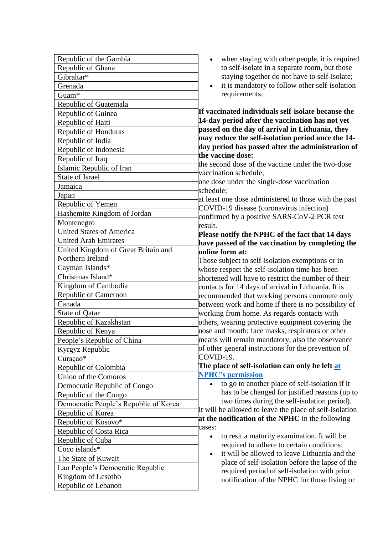| Republic of the Gambia                                         | when staying with other people, it is required<br>$\bullet$                |
|----------------------------------------------------------------|----------------------------------------------------------------------------|
| Republic of Ghana                                              | to self-isolate in a separate room, but those                              |
| Gibraltar*                                                     | staying together do not have to self-isolate;                              |
| Grenada                                                        | it is mandatory to follow other self-isolation<br>$\bullet$                |
| Guam*                                                          | requirements.                                                              |
| Republic of Guatemala                                          |                                                                            |
| Republic of Guinea                                             | If vaccinated individuals self-isolate because the                         |
| Republic of Haiti                                              | 14-day period after the vaccination has not yet                            |
| Republic of Honduras                                           | passed on the day of arrival in Lithuania, they                            |
| Republic of India                                              | may reduce the self-isolation period once the 14-                          |
| Republic of Indonesia                                          | day period has passed after the administration of                          |
| Republic of Iraq                                               | the vaccine dose:                                                          |
| Islamic Republic of Iran                                       | the second dose of the vaccine under the two-dose<br>vaccination schedule; |
| <b>State of Israel</b>                                         | one dose under the single-dose vaccination                                 |
| Jamaica                                                        | schedule;                                                                  |
| Japan                                                          | at least one dose administered to those with the past                      |
| Republic of Yemen                                              | COVID-19 disease (coronavirus infection)                                   |
| Hashemite Kingdom of Jordan                                    | confirmed by a positive SARS-CoV-2 PCR test                                |
| Montenegro                                                     | result.                                                                    |
| <b>United States of America</b>                                | Please notify the NPHC of the fact that 14 days                            |
| <b>United Arab Emirates</b>                                    | have passed of the vaccination by completing the                           |
| United Kingdom of Great Britain and                            | online form at:                                                            |
| Northern Ireland                                               | Those subject to self-isolation exemptions or in                           |
| Cayman Islands*                                                | whose respect the self-isolation time has been                             |
| Christmas Island*                                              | shortened will have to restrict the number of their                        |
| Kingdom of Cambodia                                            | contacts for 14 days of arrival in Lithuania. It is                        |
| Republic of Cameroon                                           | recommended that working persons commute only                              |
| Canada                                                         | between work and home if there is no possibility of                        |
| State of Qatar                                                 | working from home. As regards contacts with                                |
| Republic of Kazakhstan                                         | others, wearing protective equipment covering the                          |
| Republic of Kenya                                              | nose and mouth: face masks, respirators or other                           |
| People's Republic of China                                     | means will remain mandatory, also the observance                           |
| Kyrgyz Republic                                                | of other general instructions for the prevention of<br>COVID-19.           |
| Curaçao*                                                       | The place of self-isolation can only be left at                            |
| Republic of Colombia                                           | <b>NPHC's permission</b>                                                   |
| Union of the Comoros                                           | to go to another place of self-isolation if it                             |
| Democratic Republic of Congo                                   | has to be changed for justified reasons (up to                             |
| Republic of the Congo<br>Democratic People's Republic of Korea | two times during the self-isolation period).                               |
|                                                                | It will be allowed to leave the place of self-isolation                    |
| Republic of Korea<br>Republic of Kosovo*                       | at the notification of the NPHC in the following                           |
| Republic of Costa Rica                                         | cases:                                                                     |
| Republic of Cuba                                               | to resit a maturity examination. It will be<br>$\bullet$                   |
| Coco islands*                                                  | required to adhere to certain conditions;                                  |
| The State of Kuwait                                            | it will be allowed to leave Lithuania and the<br>$\bullet$                 |
| Lao People's Democratic Republic                               | place of self-isolation before the lapse of the                            |
| Kingdom of Lesotho                                             | required period of self-isolation with prior                               |
| Republic of Lebanon                                            | notification of the NPHC for those living or                               |
|                                                                |                                                                            |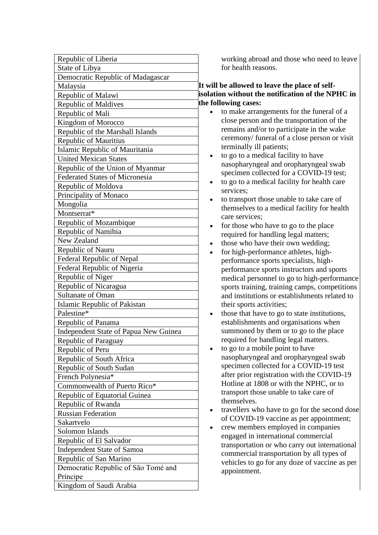| Republic of Liberia                   |
|---------------------------------------|
| State of Libya                        |
| Democratic Republic of Madagascar     |
| Malaysia                              |
| Republic of Malawi                    |
| <b>Republic of Maldives</b>           |
| Republic of Mali                      |
| Kingdom of Morocco                    |
| Republic of the Marshall Islands      |
| <b>Republic of Mauritius</b>          |
| Islamic Republic of Mauritania        |
| <b>United Mexican States</b>          |
| Republic of the Union of Myanmar      |
| <b>Federated States of Micronesia</b> |
| Republic of Moldova                   |
| Principality of Monaco                |
| Mongolia                              |
| Montserrat*                           |
| Republic of Mozambique                |
| Republic of Namibia                   |
| New Zealand                           |
| Republic of Nauru                     |
| Federal Republic of Nepal             |
| Federal Republic of Nigeria           |
| Republic of Niger                     |
| Republic of Nicaragua                 |
| Sultanate of Oman                     |
| Islamic Republic of Pakistan          |
| Palestine*                            |
| Republic of Panama                    |
| Independent State of Papua New Guinea |
| Republic of Paraguay                  |
| Republic of Peru                      |
| Republic of South Africa              |
| Republic of South Sudan               |
| French Polynesia*                     |
| Commonwealth of Puerto Rico*          |
| Republic of Equatorial Guinea         |
| Republic of Rwanda                    |
| <b>Russian Federation</b>             |
| Sakartvelo                            |
| Solomon Islands                       |
| Republic of El Salvador               |
| <b>Independent State of Samoa</b>     |
| Republic of San Marino                |
| Democratic Republic of São Tomé and   |
| Príncipe                              |
| Kingdom of Saudi Arabia               |

working abroad and those who need to leave for health reasons.

## **It will be allowed to leave the place of selfisolation without the notification of the NPHC in the following cases:**

- to make arrangements for the funeral of a close person and the transportation of the remains and/or to participate in the wake ceremony/ funeral of a close person or visit terminally ill patients;
- to go to a medical facility to have nasopharyngeal and oropharyngeal swab specimen collected for a COVID-19 test;
- to go to a medical facility for health care services;
- to transport those unable to take care of themselves to a medical facility for health care services;
- for those who have to go to the place required for handling legal matters;
- those who have their own wedding;
- for high-performance athletes, highperformance sports specialists, highperformance sports instructors and sports medical personnel to go to high-performance sports training, training camps, competitions and institutions or establishments related to their sports activities;
- those that have to go to state institutions, establishments and organisations when summoned by them or to go to the place required for handling legal matters.
- to go to a mobile point to have nasopharyngeal and oropharyngeal swab specimen collected for a COVID-19 test after prior registration with the COVID-19 Hotline at 1808 or with the NPHC, or to transport those unable to take care of themselves.
- travellers who have to go for the second dose of COVID-19 vaccine as per appointment;
- crew members employed in companies engaged in international commercial transportation or who carry out international commercial transportation by all types of vehicles to go for any doze of vaccine as per appointment.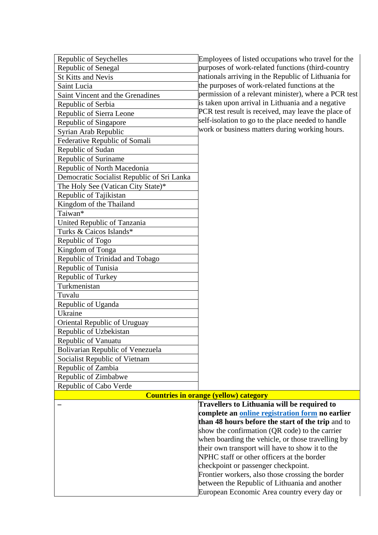| Republic of Seychelles                     | Employees of listed occupations who travel for the   |
|--------------------------------------------|------------------------------------------------------|
| Republic of Senegal                        | purposes of work-related functions (third-country    |
| <b>St Kitts and Nevis</b>                  | nationals arriving in the Republic of Lithuania for  |
| Saint Lucia                                | the purposes of work-related functions at the        |
| Saint Vincent and the Grenadines           | permission of a relevant minister), where a PCR test |
| Republic of Serbia                         | is taken upon arrival in Lithuania and a negative    |
| Republic of Sierra Leone                   | PCR test result is received, may leave the place of  |
| Republic of Singapore                      | self-isolation to go to the place needed to handle   |
| Syrian Arab Republic                       | work or business matters during working hours.       |
| Federative Republic of Somali              |                                                      |
| Republic of Sudan                          |                                                      |
| Republic of Suriname                       |                                                      |
| Republic of North Macedonia                |                                                      |
| Democratic Socialist Republic of Sri Lanka |                                                      |
| The Holy See (Vatican City State)*         |                                                      |
| Republic of Tajikistan                     |                                                      |
| Kingdom of the Thailand                    |                                                      |
| Taiwan*                                    |                                                      |
| United Republic of Tanzania                |                                                      |
| Turks & Caicos Islands*                    |                                                      |
| Republic of Togo                           |                                                      |
| Kingdom of Tonga                           |                                                      |
| Republic of Trinidad and Tobago            |                                                      |
| Republic of Tunisia                        |                                                      |
| Republic of Turkey                         |                                                      |
| Turkmenistan                               |                                                      |
| Tuvalu                                     |                                                      |
| Republic of Uganda                         |                                                      |
| Ukraine                                    |                                                      |
| Oriental Republic of Uruguay               |                                                      |
| Republic of Uzbekistan                     |                                                      |
| Republic of Vanuatu                        |                                                      |
| <b>Bolivarian Republic of Venezuela</b>    |                                                      |
| Socialist Republic of Vietnam              |                                                      |
| Republic of Zambia                         |                                                      |
| Republic of Zimbabwe                       |                                                      |
| Republic of Cabo Verde                     |                                                      |
|                                            | <b>Countries in orange (yellow) category</b>         |

| <b>Countries in orange (vellow) category</b>      |
|---------------------------------------------------|
| Travellers to Lithuania will be required to       |
| complete an online registration form no earlier   |
| than 48 hours before the start of the trip and to |
| show the confirmation (QR code) to the carrier    |
| when boarding the vehicle, or those travelling by |
| their own transport will have to show it to the   |
| NPHC staff or other officers at the border        |
| checkpoint or passenger checkpoint.               |
| Frontier workers, also those crossing the border  |
| between the Republic of Lithuania and another     |
| European Economic Area country every day or       |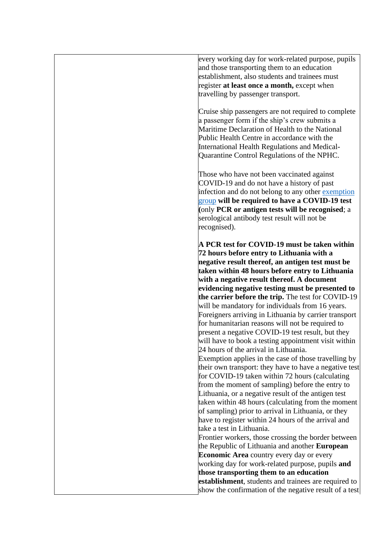every working day for work-related purpose, pupils and those transporting them to an education establishment, also students and trainees must register **at least once a month,** except when travelling by passenger transport.

Cruise ship passengers are not required to complete a passenger form if the ship's crew submits a Maritime Declaration of Health to the National Public Health Centre in accordance with the International Health Regulations and Medical-Quarantine Control Regulations of the NPHC.

Those who have not been vaccinated against COVID-19 and do not have a history of past infection and do not belong to any other exemption [group](https://nvsc.lrv.lt/isimtys) **will be required to have a COVID-19 test (**only **PCR or antigen tests will be recognised**; a serological antibody test result will not be recognised).

**A PCR test for COVID-19 must be taken within 72 hours before entry to Lithuania with a negative result thereof, an antigen test must be taken within 48 hours before entry to Lithuania with a negative result thereof. A document evidencing negative testing must be presented to the carrier before the trip.** The test for COVID-19 will be mandatory for individuals from 16 years. Foreigners arriving in Lithuania by carrier transport for humanitarian reasons will not be required to present a negative COVID-19 test result, but they will have to book a testing appointment visit within 24 hours of the arrival in Lithuania. Exemption applies in the case of those travelling by their own transport: they have to have a negative test for COVID-19 taken within 72 hours (calculating from the moment of sampling) before the entry to Lithuania, or a negative result of the antigen test taken within 48 hours (calculating from the moment of sampling) prior to arrival in Lithuania, or they have to register within 24 hours of the arrival and take a test in Lithuania. Frontier workers, those crossing the border between the Republic of Lithuania and another **European Economic Area** country every day or every working day for work-related purpose, pupils **and those transporting them to an education** 

**establishment**, students and trainees are required to show the confirmation of the negative result of a test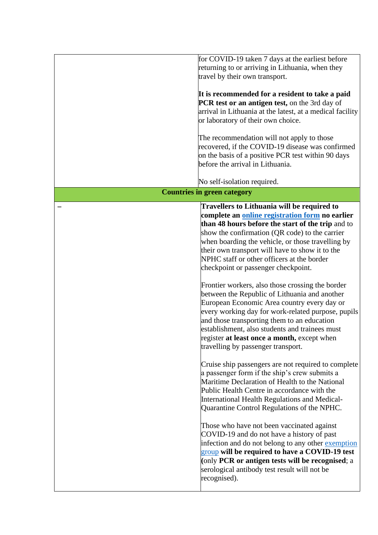| for COVID-19 taken 7 days at the earliest before                    |
|---------------------------------------------------------------------|
| returning to or arriving in Lithuania, when they                    |
| travel by their own transport.                                      |
| It is recommended for a resident to take a paid                     |
| PCR test or an antigen test, on the 3rd day of                      |
| arrival in Lithuania at the latest, at a medical facility           |
| or laboratory of their own choice.                                  |
|                                                                     |
| The recommendation will not apply to those                          |
| recovered, if the COVID-19 disease was confirmed                    |
| on the basis of a positive PCR test within 90 days                  |
| before the arrival in Lithuania.                                    |
|                                                                     |
| No self-isolation required.                                         |
| <b>Countries in green category</b>                                  |
| Travellers to Lithuania will be required to                         |
| complete an online registration form no earlier                     |
| than 48 hours before the start of the trip and to                   |
| show the confirmation (QR code) to the carrier                      |
| when boarding the vehicle, or those travelling by                   |
| their own transport will have to show it to the                     |
| NPHC staff or other officers at the border                          |
| checkpoint or passenger checkpoint.                                 |
|                                                                     |
| Frontier workers, also those crossing the border                    |
| between the Republic of Lithuania and another                       |
| European Economic Area country every day or                         |
| every working day for work-related purpose, pupils                  |
|                                                                     |
| and those transporting them to an education                         |
| establishment, also students and trainees must                      |
| register at least once a month, except when                         |
| travelling by passenger transport.                                  |
|                                                                     |
|                                                                     |
| a passenger form if the ship's crew submits a                       |
| Maritime Declaration of Health to the National                      |
| Public Health Centre in accordance with the                         |
| International Health Regulations and Medical-                       |
| Quarantine Control Regulations of the NPHC.                         |
| Those who have not been vaccinated against                          |
| COVID-19 and do not have a history of past                          |
| infection and do not belong to any other exemption                  |
| group will be required to have a COVID-19 test                      |
| (only PCR or antigen tests will be recognised; a                    |
| serological antibody test result will not be                        |
| Cruise ship passengers are not required to complete<br>recognised). |